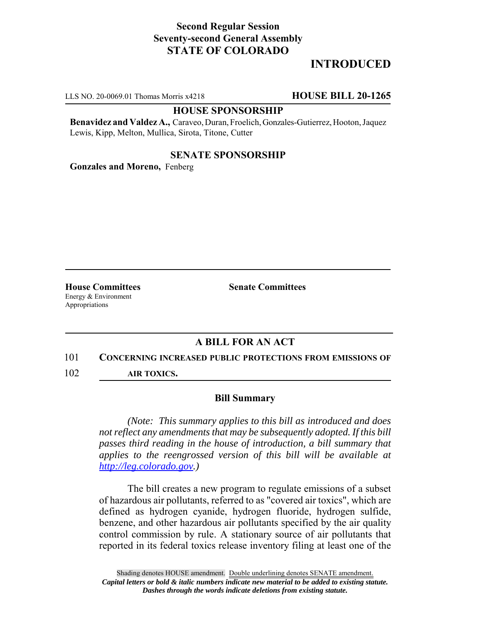## **Second Regular Session Seventy-second General Assembly STATE OF COLORADO**

# **INTRODUCED**

LLS NO. 20-0069.01 Thomas Morris x4218 **HOUSE BILL 20-1265**

#### **HOUSE SPONSORSHIP**

**Benavidez and Valdez A.,** Caraveo, Duran, Froelich, Gonzales-Gutierrez, Hooton, Jaquez Lewis, Kipp, Melton, Mullica, Sirota, Titone, Cutter

### **SENATE SPONSORSHIP**

**Gonzales and Moreno,** Fenberg

Energy & Environment Appropriations

**House Committees Senate Committees** 

### **A BILL FOR AN ACT**

#### 101 **CONCERNING INCREASED PUBLIC PROTECTIONS FROM EMISSIONS OF**

102 **AIR TOXICS.**

#### **Bill Summary**

*(Note: This summary applies to this bill as introduced and does not reflect any amendments that may be subsequently adopted. If this bill passes third reading in the house of introduction, a bill summary that applies to the reengrossed version of this bill will be available at http://leg.colorado.gov.)*

The bill creates a new program to regulate emissions of a subset of hazardous air pollutants, referred to as "covered air toxics", which are defined as hydrogen cyanide, hydrogen fluoride, hydrogen sulfide, benzene, and other hazardous air pollutants specified by the air quality control commission by rule. A stationary source of air pollutants that reported in its federal toxics release inventory filing at least one of the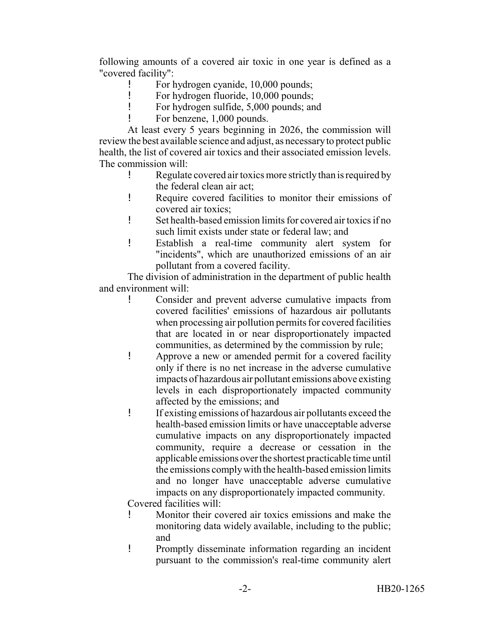following amounts of a covered air toxic in one year is defined as a "covered facility":

- ! For hydrogen cyanide, 10,000 pounds;
- ! For hydrogen fluoride, 10,000 pounds;
- ! For hydrogen sulfide, 5,000 pounds; and
	- For benzene, 1,000 pounds.

At least every 5 years beginning in 2026, the commission will review the best available science and adjust, as necessary to protect public health, the list of covered air toxics and their associated emission levels. The commission will:

- ! Regulate covered air toxics more strictly than is required by the federal clean air act;
- ! Require covered facilities to monitor their emissions of covered air toxics;
- ! Set health-based emission limits for covered air toxics if no such limit exists under state or federal law; and
- ! Establish a real-time community alert system for "incidents", which are unauthorized emissions of an air pollutant from a covered facility.

The division of administration in the department of public health and environment will:

- ! Consider and prevent adverse cumulative impacts from covered facilities' emissions of hazardous air pollutants when processing air pollution permits for covered facilities that are located in or near disproportionately impacted communities, as determined by the commission by rule;
- ! Approve a new or amended permit for a covered facility only if there is no net increase in the adverse cumulative impacts of hazardous air pollutant emissions above existing levels in each disproportionately impacted community affected by the emissions; and
- ! If existing emissions of hazardous air pollutants exceed the health-based emission limits or have unacceptable adverse cumulative impacts on any disproportionately impacted community, require a decrease or cessation in the applicable emissions over the shortest practicable time until the emissions comply with the health-based emission limits and no longer have unacceptable adverse cumulative impacts on any disproportionately impacted community.

Covered facilities will:

- ! Monitor their covered air toxics emissions and make the monitoring data widely available, including to the public; and
- ! Promptly disseminate information regarding an incident pursuant to the commission's real-time community alert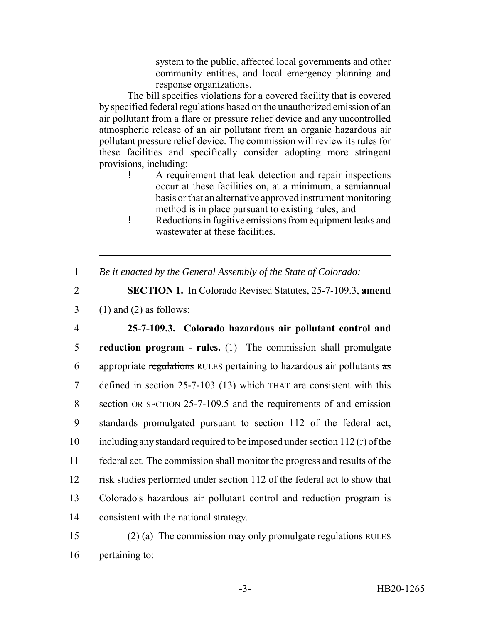system to the public, affected local governments and other community entities, and local emergency planning and response organizations.

The bill specifies violations for a covered facility that is covered by specified federal regulations based on the unauthorized emission of an air pollutant from a flare or pressure relief device and any uncontrolled atmospheric release of an air pollutant from an organic hazardous air pollutant pressure relief device. The commission will review its rules for these facilities and specifically consider adopting more stringent provisions, including:

- ! A requirement that leak detection and repair inspections occur at these facilities on, at a minimum, a semiannual basis or that an alternative approved instrument monitoring method is in place pursuant to existing rules; and
- ! Reductions in fugitive emissions from equipment leaks and wastewater at these facilities.
- 1 *Be it enacted by the General Assembly of the State of Colorado:*

2 **SECTION 1.** In Colorado Revised Statutes, 25-7-109.3, **amend**  $3 \quad (1)$  and  $(2)$  as follows:

 **25-7-109.3. Colorado hazardous air pollutant control and reduction program - rules.** (1) The commission shall promulgate 6 appropriate regulations RULES pertaining to hazardous air pollutants  $\frac{1}{x}$ 7 defined in section 25-7-103 (13) which THAT are consistent with this section OR SECTION 25-7-109.5 and the requirements of and emission standards promulgated pursuant to section 112 of the federal act, including any standard required to be imposed under section 112 (r) of the federal act. The commission shall monitor the progress and results of the risk studies performed under section 112 of the federal act to show that Colorado's hazardous air pollutant control and reduction program is consistent with the national strategy.

15 (2) (a) The commission may only promulgate regulations RULES 16 pertaining to: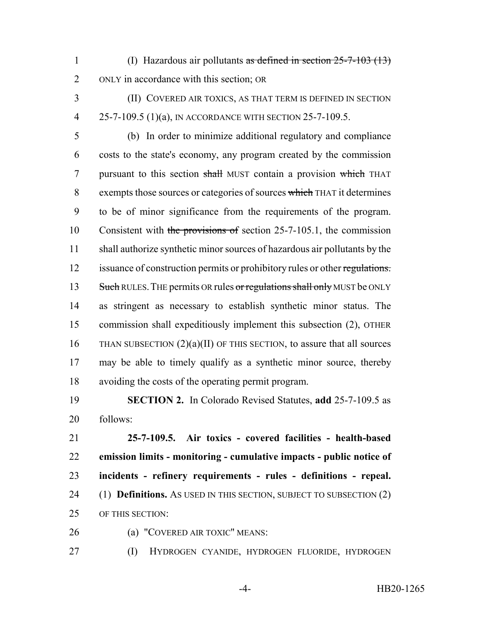- (I) Hazardous air pollutants as defined in section 25-7-103 (13) ONLY in accordance with this section; OR
- 

 (II) COVERED AIR TOXICS, AS THAT TERM IS DEFINED IN SECTION 25-7-109.5 (1)(a), IN ACCORDANCE WITH SECTION 25-7-109.5.

 (b) In order to minimize additional regulatory and compliance costs to the state's economy, any program created by the commission pursuant to this section shall MUST contain a provision which THAT 8 exempts those sources or categories of sources which THAT it determines to be of minor significance from the requirements of the program. 10 Consistent with the provisions of section 25-7-105.1, the commission shall authorize synthetic minor sources of hazardous air pollutants by the 12 issuance of construction permits or prohibitory rules or other regulations. 13 Such RULES. THE permits OR rules or regulations shall only MUST be ONLY as stringent as necessary to establish synthetic minor status. The commission shall expeditiously implement this subsection (2), OTHER 16 THAN SUBSECTION  $(2)(a)(II)$  OF THIS SECTION, to assure that all sources may be able to timely qualify as a synthetic minor source, thereby avoiding the costs of the operating permit program.

 **SECTION 2.** In Colorado Revised Statutes, **add** 25-7-109.5 as follows:

 **25-7-109.5. Air toxics - covered facilities - health-based emission limits - monitoring - cumulative impacts - public notice of incidents - refinery requirements - rules - definitions - repeal.** (1) **Definitions.** AS USED IN THIS SECTION, SUBJECT TO SUBSECTION (2) OF THIS SECTION:

- 
- (a) "COVERED AIR TOXIC" MEANS:

(I) HYDROGEN CYANIDE, HYDROGEN FLUORIDE, HYDROGEN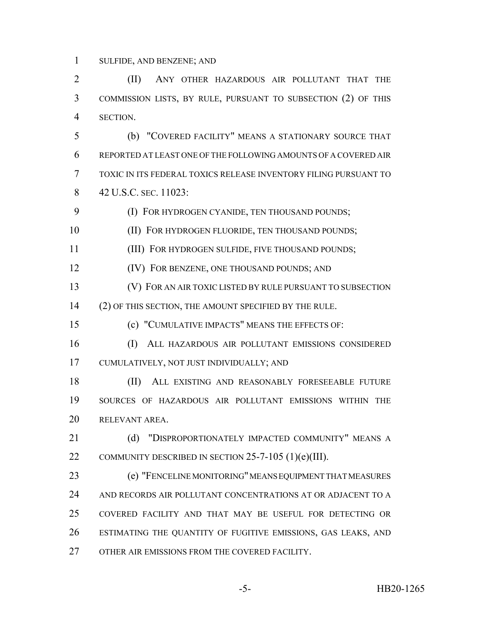SULFIDE, AND BENZENE; AND

**(II)** ANY OTHER HAZARDOUS AIR POLLUTANT THAT THE COMMISSION LISTS, BY RULE, PURSUANT TO SUBSECTION (2) OF THIS SECTION.

 (b) "COVERED FACILITY" MEANS A STATIONARY SOURCE THAT REPORTED AT LEAST ONE OF THE FOLLOWING AMOUNTS OF A COVERED AIR TOXIC IN ITS FEDERAL TOXICS RELEASE INVENTORY FILING PURSUANT TO 42 U.S.C. SEC. 11023:

**(I) FOR HYDROGEN CYANIDE, TEN THOUSAND POUNDS;** 

(II) FOR HYDROGEN FLUORIDE, TEN THOUSAND POUNDS;

(III) FOR HYDROGEN SULFIDE, FIVE THOUSAND POUNDS;

(IV) FOR BENZENE, ONE THOUSAND POUNDS; AND

(V) FOR AN AIR TOXIC LISTED BY RULE PURSUANT TO SUBSECTION

(2) OF THIS SECTION, THE AMOUNT SPECIFIED BY THE RULE.

(c) "CUMULATIVE IMPACTS" MEANS THE EFFECTS OF:

 (I) ALL HAZARDOUS AIR POLLUTANT EMISSIONS CONSIDERED CUMULATIVELY, NOT JUST INDIVIDUALLY; AND

 (II) ALL EXISTING AND REASONABLY FORESEEABLE FUTURE SOURCES OF HAZARDOUS AIR POLLUTANT EMISSIONS WITHIN THE RELEVANT AREA.

21 (d) "DISPROPORTIONATELY IMPACTED COMMUNITY" MEANS A COMMUNITY DESCRIBED IN SECTION 25-7-105 (1)(e)(III).

 (e) "FENCELINE MONITORING" MEANS EQUIPMENT THAT MEASURES AND RECORDS AIR POLLUTANT CONCENTRATIONS AT OR ADJACENT TO A COVERED FACILITY AND THAT MAY BE USEFUL FOR DETECTING OR ESTIMATING THE QUANTITY OF FUGITIVE EMISSIONS, GAS LEAKS, AND OTHER AIR EMISSIONS FROM THE COVERED FACILITY.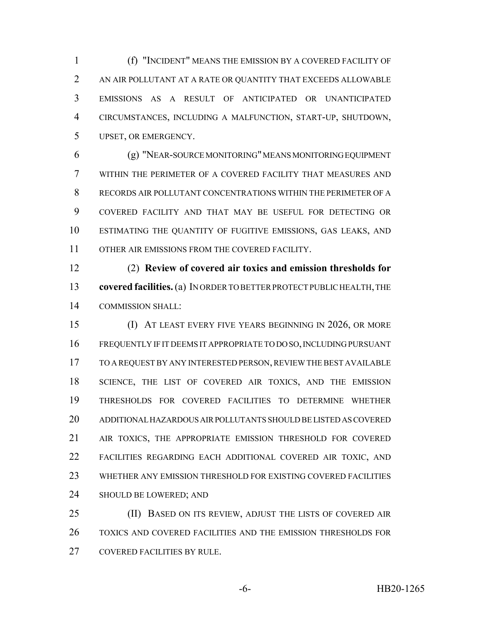(f) "INCIDENT" MEANS THE EMISSION BY A COVERED FACILITY OF AN AIR POLLUTANT AT A RATE OR QUANTITY THAT EXCEEDS ALLOWABLE EMISSIONS AS A RESULT OF ANTICIPATED OR UNANTICIPATED CIRCUMSTANCES, INCLUDING A MALFUNCTION, START-UP, SHUTDOWN, UPSET, OR EMERGENCY.

 (g) "NEAR-SOURCE MONITORING" MEANS MONITORING EQUIPMENT WITHIN THE PERIMETER OF A COVERED FACILITY THAT MEASURES AND RECORDS AIR POLLUTANT CONCENTRATIONS WITHIN THE PERIMETER OF A COVERED FACILITY AND THAT MAY BE USEFUL FOR DETECTING OR ESTIMATING THE QUANTITY OF FUGITIVE EMISSIONS, GAS LEAKS, AND 11 OTHER AIR EMISSIONS FROM THE COVERED FACILITY.

 (2) **Review of covered air toxics and emission thresholds for covered facilities.** (a) IN ORDER TO BETTER PROTECT PUBLIC HEALTH, THE COMMISSION SHALL:

 (I) AT LEAST EVERY FIVE YEARS BEGINNING IN 2026, OR MORE FREQUENTLY IF IT DEEMS IT APPROPRIATE TO DO SO, INCLUDING PURSUANT TO A REQUEST BY ANY INTERESTED PERSON, REVIEW THE BEST AVAILABLE 18 SCIENCE, THE LIST OF COVERED AIR TOXICS, AND THE EMISSION THRESHOLDS FOR COVERED FACILITIES TO DETERMINE WHETHER ADDITIONAL HAZARDOUS AIR POLLUTANTS SHOULD BE LISTED AS COVERED AIR TOXICS, THE APPROPRIATE EMISSION THRESHOLD FOR COVERED FACILITIES REGARDING EACH ADDITIONAL COVERED AIR TOXIC, AND WHETHER ANY EMISSION THRESHOLD FOR EXISTING COVERED FACILITIES SHOULD BE LOWERED; AND

 (II) BASED ON ITS REVIEW, ADJUST THE LISTS OF COVERED AIR TOXICS AND COVERED FACILITIES AND THE EMISSION THRESHOLDS FOR COVERED FACILITIES BY RULE.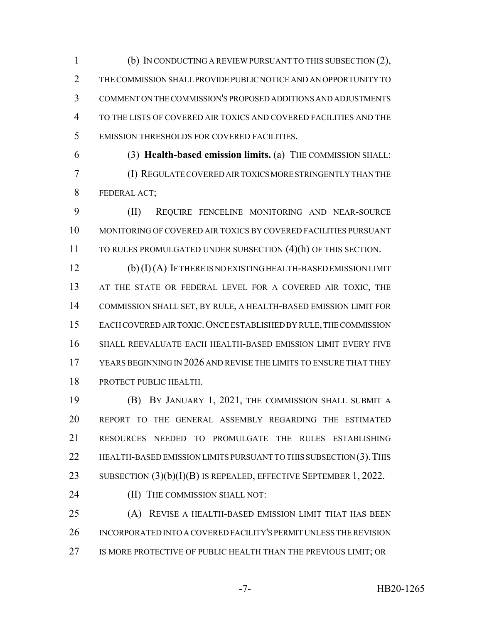(b) IN CONDUCTING A REVIEW PURSUANT TO THIS SUBSECTION (2), THE COMMISSION SHALL PROVIDE PUBLIC NOTICE AND AN OPPORTUNITY TO COMMENT ON THE COMMISSION'S PROPOSED ADDITIONS AND ADJUSTMENTS TO THE LISTS OF COVERED AIR TOXICS AND COVERED FACILITIES AND THE EMISSION THRESHOLDS FOR COVERED FACILITIES.

 (3) **Health-based emission limits.** (a) THE COMMISSION SHALL: (I) REGULATE COVERED AIR TOXICS MORE STRINGENTLY THAN THE FEDERAL ACT;

 (II) REQUIRE FENCELINE MONITORING AND NEAR-SOURCE MONITORING OF COVERED AIR TOXICS BY COVERED FACILITIES PURSUANT TO RULES PROMULGATED UNDER SUBSECTION (4)(h) OF THIS SECTION.

 (b) (I) (A) IF THERE IS NO EXISTING HEALTH-BASED EMISSION LIMIT 13 AT THE STATE OR FEDERAL LEVEL FOR A COVERED AIR TOXIC, THE COMMISSION SHALL SET, BY RULE, A HEALTH-BASED EMISSION LIMIT FOR EACH COVERED AIR TOXIC.ONCE ESTABLISHED BY RULE, THE COMMISSION SHALL REEVALUATE EACH HEALTH-BASED EMISSION LIMIT EVERY FIVE 17 YEARS BEGINNING IN 2026 AND REVISE THE LIMITS TO ENSURE THAT THEY PROTECT PUBLIC HEALTH.

 (B) BY JANUARY 1, 2021, THE COMMISSION SHALL SUBMIT A REPORT TO THE GENERAL ASSEMBLY REGARDING THE ESTIMATED RESOURCES NEEDED TO PROMULGATE THE RULES ESTABLISHING 22 HEALTH-BASED EMISSION LIMITS PURSUANT TO THIS SUBSECTION (3). THIS 23 SUBSECTION (3)(b)(I)(B) IS REPEALED, EFFECTIVE SEPTEMBER 1, 2022.

24 (II) THE COMMISSION SHALL NOT:

 (A) REVISE A HEALTH-BASED EMISSION LIMIT THAT HAS BEEN INCORPORATED INTO A COVERED FACILITY'S PERMIT UNLESS THE REVISION 27 IS MORE PROTECTIVE OF PUBLIC HEALTH THAN THE PREVIOUS LIMIT; OR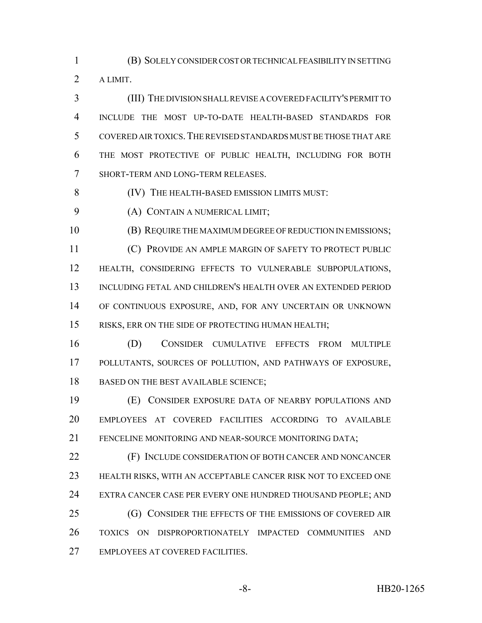(B) SOLELY CONSIDER COST OR TECHNICAL FEASIBILITY IN SETTING A LIMIT.

 (III) THE DIVISION SHALL REVISE A COVERED FACILITY'S PERMIT TO INCLUDE THE MOST UP-TO-DATE HEALTH-BASED STANDARDS FOR COVERED AIR TOXICS.THE REVISED STANDARDS MUST BE THOSE THAT ARE THE MOST PROTECTIVE OF PUBLIC HEALTH, INCLUDING FOR BOTH SHORT-TERM AND LONG-TERM RELEASES.

(IV) THE HEALTH-BASED EMISSION LIMITS MUST:

(A) CONTAIN A NUMERICAL LIMIT;

 (B) REQUIRE THE MAXIMUM DEGREE OF REDUCTION IN EMISSIONS; (C) PROVIDE AN AMPLE MARGIN OF SAFETY TO PROTECT PUBLIC HEALTH, CONSIDERING EFFECTS TO VULNERABLE SUBPOPULATIONS, INCLUDING FETAL AND CHILDREN'S HEALTH OVER AN EXTENDED PERIOD OF CONTINUOUS EXPOSURE, AND, FOR ANY UNCERTAIN OR UNKNOWN RISKS, ERR ON THE SIDE OF PROTECTING HUMAN HEALTH;

 (D) CONSIDER CUMULATIVE EFFECTS FROM MULTIPLE POLLUTANTS, SOURCES OF POLLUTION, AND PATHWAYS OF EXPOSURE, 18 BASED ON THE BEST AVAILABLE SCIENCE;

 (E) CONSIDER EXPOSURE DATA OF NEARBY POPULATIONS AND EMPLOYEES AT COVERED FACILITIES ACCORDING TO AVAILABLE FENCELINE MONITORING AND NEAR-SOURCE MONITORING DATA;

 (F) INCLUDE CONSIDERATION OF BOTH CANCER AND NONCANCER HEALTH RISKS, WITH AN ACCEPTABLE CANCER RISK NOT TO EXCEED ONE EXTRA CANCER CASE PER EVERY ONE HUNDRED THOUSAND PEOPLE; AND **(G) CONSIDER THE EFFECTS OF THE EMISSIONS OF COVERED AIR**  TOXICS ON DISPROPORTIONATELY IMPACTED COMMUNITIES AND EMPLOYEES AT COVERED FACILITIES.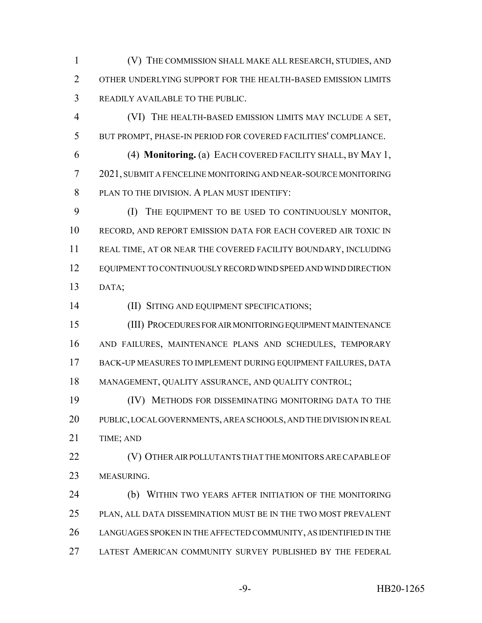(V) THE COMMISSION SHALL MAKE ALL RESEARCH, STUDIES, AND OTHER UNDERLYING SUPPORT FOR THE HEALTH-BASED EMISSION LIMITS READILY AVAILABLE TO THE PUBLIC.

 (VI) THE HEALTH-BASED EMISSION LIMITS MAY INCLUDE A SET, BUT PROMPT, PHASE-IN PERIOD FOR COVERED FACILITIES' COMPLIANCE.

 (4) **Monitoring.** (a) EACH COVERED FACILITY SHALL, BY MAY 1, 2021, SUBMIT A FENCELINE MONITORING AND NEAR-SOURCE MONITORING PLAN TO THE DIVISION. A PLAN MUST IDENTIFY:

 (I) THE EQUIPMENT TO BE USED TO CONTINUOUSLY MONITOR, RECORD, AND REPORT EMISSION DATA FOR EACH COVERED AIR TOXIC IN REAL TIME, AT OR NEAR THE COVERED FACILITY BOUNDARY, INCLUDING EQUIPMENT TO CONTINUOUSLY RECORD WIND SPEED AND WIND DIRECTION DATA;

(II) SITING AND EQUIPMENT SPECIFICATIONS;

 (III) PROCEDURES FOR AIR MONITORING EQUIPMENT MAINTENANCE AND FAILURES, MAINTENANCE PLANS AND SCHEDULES, TEMPORARY BACK-UP MEASURES TO IMPLEMENT DURING EQUIPMENT FAILURES, DATA MANAGEMENT, QUALITY ASSURANCE, AND QUALITY CONTROL;

 (IV) METHODS FOR DISSEMINATING MONITORING DATA TO THE PUBLIC, LOCAL GOVERNMENTS, AREA SCHOOLS, AND THE DIVISION IN REAL TIME; AND

 (V) OTHER AIR POLLUTANTS THAT THE MONITORS ARE CAPABLE OF MEASURING.

 (b) WITHIN TWO YEARS AFTER INITIATION OF THE MONITORING PLAN, ALL DATA DISSEMINATION MUST BE IN THE TWO MOST PREVALENT LANGUAGES SPOKEN IN THE AFFECTED COMMUNITY, AS IDENTIFIED IN THE LATEST AMERICAN COMMUNITY SURVEY PUBLISHED BY THE FEDERAL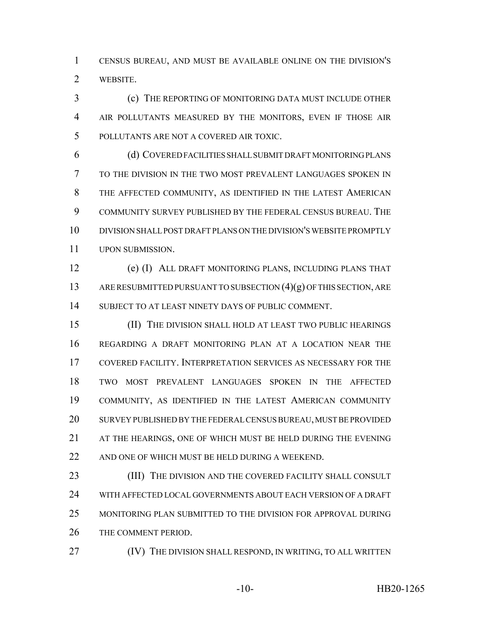CENSUS BUREAU, AND MUST BE AVAILABLE ONLINE ON THE DIVISION'S WEBSITE.

 (c) THE REPORTING OF MONITORING DATA MUST INCLUDE OTHER AIR POLLUTANTS MEASURED BY THE MONITORS, EVEN IF THOSE AIR POLLUTANTS ARE NOT A COVERED AIR TOXIC.

 (d) COVERED FACILITIES SHALL SUBMIT DRAFT MONITORING PLANS TO THE DIVISION IN THE TWO MOST PREVALENT LANGUAGES SPOKEN IN THE AFFECTED COMMUNITY, AS IDENTIFIED IN THE LATEST AMERICAN COMMUNITY SURVEY PUBLISHED BY THE FEDERAL CENSUS BUREAU. THE DIVISION SHALL POST DRAFT PLANS ON THE DIVISION'S WEBSITE PROMPTLY UPON SUBMISSION.

 (e) (I) ALL DRAFT MONITORING PLANS, INCLUDING PLANS THAT ARE RESUBMITTED PURSUANT TO SUBSECTION (4)(g) OF THIS SECTION, ARE SUBJECT TO AT LEAST NINETY DAYS OF PUBLIC COMMENT.

 (II) THE DIVISION SHALL HOLD AT LEAST TWO PUBLIC HEARINGS REGARDING A DRAFT MONITORING PLAN AT A LOCATION NEAR THE COVERED FACILITY. INTERPRETATION SERVICES AS NECESSARY FOR THE TWO MOST PREVALENT LANGUAGES SPOKEN IN THE AFFECTED COMMUNITY, AS IDENTIFIED IN THE LATEST AMERICAN COMMUNITY SURVEY PUBLISHED BY THE FEDERAL CENSUS BUREAU, MUST BE PROVIDED AT THE HEARINGS, ONE OF WHICH MUST BE HELD DURING THE EVENING AND ONE OF WHICH MUST BE HELD DURING A WEEKEND.

23 (III) THE DIVISION AND THE COVERED FACILITY SHALL CONSULT WITH AFFECTED LOCAL GOVERNMENTS ABOUT EACH VERSION OF A DRAFT MONITORING PLAN SUBMITTED TO THE DIVISION FOR APPROVAL DURING THE COMMENT PERIOD.

27 (IV) THE DIVISION SHALL RESPOND, IN WRITING, TO ALL WRITTEN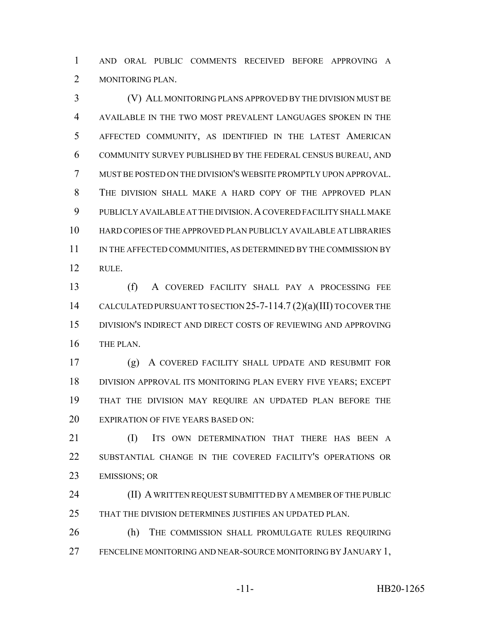AND ORAL PUBLIC COMMENTS RECEIVED BEFORE APPROVING A MONITORING PLAN.

 (V) ALL MONITORING PLANS APPROVED BY THE DIVISION MUST BE AVAILABLE IN THE TWO MOST PREVALENT LANGUAGES SPOKEN IN THE AFFECTED COMMUNITY, AS IDENTIFIED IN THE LATEST AMERICAN COMMUNITY SURVEY PUBLISHED BY THE FEDERAL CENSUS BUREAU, AND MUST BE POSTED ON THE DIVISION'S WEBSITE PROMPTLY UPON APPROVAL. THE DIVISION SHALL MAKE A HARD COPY OF THE APPROVED PLAN PUBLICLY AVAILABLE AT THE DIVISION.A COVERED FACILITY SHALL MAKE HARD COPIES OF THE APPROVED PLAN PUBLICLY AVAILABLE AT LIBRARIES 11 IN THE AFFECTED COMMUNITIES, AS DETERMINED BY THE COMMISSION BY RULE.

 (f) A COVERED FACILITY SHALL PAY A PROCESSING FEE 14 CALCULATED PURSUANT TO SECTION 25-7-114.7 (2)(a)(III) TO COVER THE DIVISION'S INDIRECT AND DIRECT COSTS OF REVIEWING AND APPROVING THE PLAN.

 (g) A COVERED FACILITY SHALL UPDATE AND RESUBMIT FOR DIVISION APPROVAL ITS MONITORING PLAN EVERY FIVE YEARS; EXCEPT THAT THE DIVISION MAY REQUIRE AN UPDATED PLAN BEFORE THE 20 EXPIRATION OF FIVE YEARS BASED ON:

**IDUOR IN THE UP AT SOUND EXERCISE ON THAT THERE HAS BEEN A**  SUBSTANTIAL CHANGE IN THE COVERED FACILITY'S OPERATIONS OR EMISSIONS; OR

**(II) A WRITTEN REQUEST SUBMITTED BY A MEMBER OF THE PUBLIC** THAT THE DIVISION DETERMINES JUSTIFIES AN UPDATED PLAN.

 (h) THE COMMISSION SHALL PROMULGATE RULES REQUIRING FENCELINE MONITORING AND NEAR-SOURCE MONITORING BY JANUARY 1,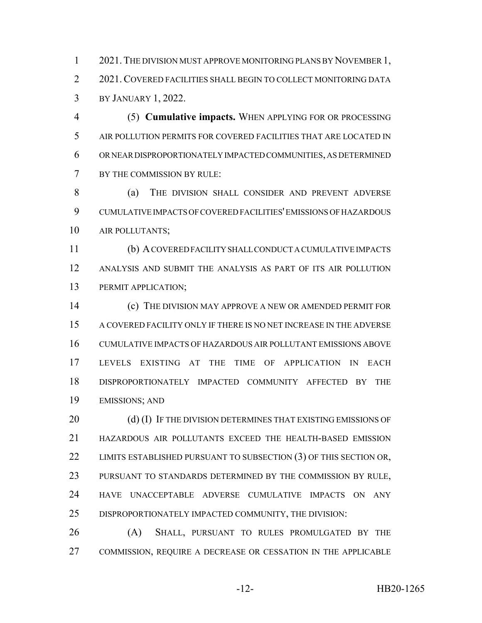1 2021. THE DIVISION MUST APPROVE MONITORING PLANS BY NOVEMBER 1, 2 2021. COVERED FACILITIES SHALL BEGIN TO COLLECT MONITORING DATA BY JANUARY 1, 2022.

 (5) **Cumulative impacts.** WHEN APPLYING FOR OR PROCESSING AIR POLLUTION PERMITS FOR COVERED FACILITIES THAT ARE LOCATED IN OR NEAR DISPROPORTIONATELY IMPACTED COMMUNITIES, AS DETERMINED BY THE COMMISSION BY RULE:

8 (a) THE DIVISION SHALL CONSIDER AND PREVENT ADVERSE CUMULATIVE IMPACTS OF COVERED FACILITIES' EMISSIONS OF HAZARDOUS AIR POLLUTANTS;

 (b) A COVERED FACILITY SHALL CONDUCT A CUMULATIVE IMPACTS ANALYSIS AND SUBMIT THE ANALYSIS AS PART OF ITS AIR POLLUTION PERMIT APPLICATION;

 (c) THE DIVISION MAY APPROVE A NEW OR AMENDED PERMIT FOR A COVERED FACILITY ONLY IF THERE IS NO NET INCREASE IN THE ADVERSE CUMULATIVE IMPACTS OF HAZARDOUS AIR POLLUTANT EMISSIONS ABOVE LEVELS EXISTING AT THE TIME OF APPLICATION IN EACH DISPROPORTIONATELY IMPACTED COMMUNITY AFFECTED BY THE EMISSIONS; AND

20 (d) (I) IF THE DIVISION DETERMINES THAT EXISTING EMISSIONS OF HAZARDOUS AIR POLLUTANTS EXCEED THE HEALTH-BASED EMISSION 22 LIMITS ESTABLISHED PURSUANT TO SUBSECTION (3) OF THIS SECTION OR, PURSUANT TO STANDARDS DETERMINED BY THE COMMISSION BY RULE, HAVE UNACCEPTABLE ADVERSE CUMULATIVE IMPACTS ON ANY DISPROPORTIONATELY IMPACTED COMMUNITY, THE DIVISION:

 (A) SHALL, PURSUANT TO RULES PROMULGATED BY THE COMMISSION, REQUIRE A DECREASE OR CESSATION IN THE APPLICABLE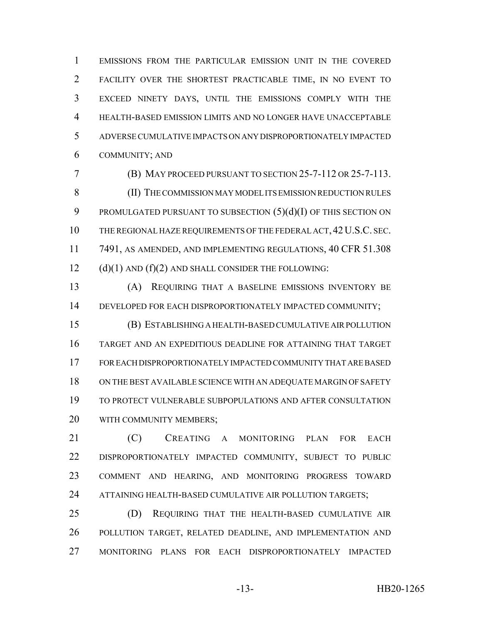EMISSIONS FROM THE PARTICULAR EMISSION UNIT IN THE COVERED FACILITY OVER THE SHORTEST PRACTICABLE TIME, IN NO EVENT TO EXCEED NINETY DAYS, UNTIL THE EMISSIONS COMPLY WITH THE HEALTH-BASED EMISSION LIMITS AND NO LONGER HAVE UNACCEPTABLE ADVERSE CUMULATIVE IMPACTS ON ANY DISPROPORTIONATELY IMPACTED COMMUNITY; AND

 (B) MAY PROCEED PURSUANT TO SECTION 25-7-112 OR 25-7-113. (II) THE COMMISSION MAY MODEL ITS EMISSION REDUCTION RULES 9 PROMULGATED PURSUANT TO SUBSECTION  $(5)(d)(I)$  OF THIS SECTION ON THE REGIONAL HAZE REQUIREMENTS OF THE FEDERAL ACT, 42U.S.C. SEC. 7491, AS AMENDED, AND IMPLEMENTING REGULATIONS, 40 CFR 51.308 (d)(1) AND (f)(2) AND SHALL CONSIDER THE FOLLOWING:

 (A) REQUIRING THAT A BASELINE EMISSIONS INVENTORY BE DEVELOPED FOR EACH DISPROPORTIONATELY IMPACTED COMMUNITY;

 (B) ESTABLISHING A HEALTH-BASED CUMULATIVE AIR POLLUTION TARGET AND AN EXPEDITIOUS DEADLINE FOR ATTAINING THAT TARGET FOR EACH DISPROPORTIONATELY IMPACTED COMMUNITY THAT ARE BASED ON THE BEST AVAILABLE SCIENCE WITH AN ADEQUATE MARGIN OF SAFETY TO PROTECT VULNERABLE SUBPOPULATIONS AND AFTER CONSULTATION WITH COMMUNITY MEMBERS;

 (C) CREATING A MONITORING PLAN FOR EACH DISPROPORTIONATELY IMPACTED COMMUNITY, SUBJECT TO PUBLIC COMMENT AND HEARING, AND MONITORING PROGRESS TOWARD 24 ATTAINING HEALTH-BASED CUMULATIVE AIR POLLUTION TARGETS;

 (D) REQUIRING THAT THE HEALTH-BASED CUMULATIVE AIR POLLUTION TARGET, RELATED DEADLINE, AND IMPLEMENTATION AND MONITORING PLANS FOR EACH DISPROPORTIONATELY IMPACTED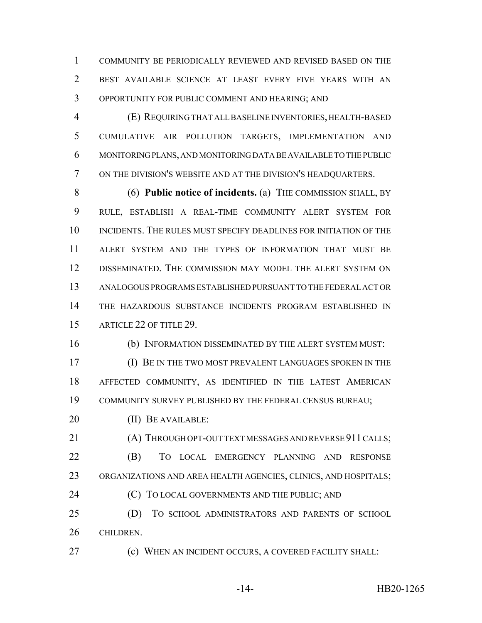COMMUNITY BE PERIODICALLY REVIEWED AND REVISED BASED ON THE BEST AVAILABLE SCIENCE AT LEAST EVERY FIVE YEARS WITH AN OPPORTUNITY FOR PUBLIC COMMENT AND HEARING; AND

 (E) REQUIRING THAT ALL BASELINE INVENTORIES, HEALTH-BASED CUMULATIVE AIR POLLUTION TARGETS, IMPLEMENTATION AND MONITORING PLANS, AND MONITORING DATA BE AVAILABLE TO THE PUBLIC ON THE DIVISION'S WEBSITE AND AT THE DIVISION'S HEADQUARTERS.

 (6) **Public notice of incidents.** (a) THE COMMISSION SHALL, BY RULE, ESTABLISH A REAL-TIME COMMUNITY ALERT SYSTEM FOR 10 INCIDENTS. THE RULES MUST SPECIFY DEADLINES FOR INITIATION OF THE ALERT SYSTEM AND THE TYPES OF INFORMATION THAT MUST BE DISSEMINATED. THE COMMISSION MAY MODEL THE ALERT SYSTEM ON ANALOGOUS PROGRAMS ESTABLISHED PURSUANT TO THE FEDERAL ACT OR THE HAZARDOUS SUBSTANCE INCIDENTS PROGRAM ESTABLISHED IN 15 ARTICLE 22 OF TITLE 29.

(b) INFORMATION DISSEMINATED BY THE ALERT SYSTEM MUST:

 (I) BE IN THE TWO MOST PREVALENT LANGUAGES SPOKEN IN THE AFFECTED COMMUNITY, AS IDENTIFIED IN THE LATEST AMERICAN COMMUNITY SURVEY PUBLISHED BY THE FEDERAL CENSUS BUREAU;

20 (II) BE AVAILABLE:

 (A) THROUGH OPT-OUT TEXT MESSAGES AND REVERSE 911 CALLS; (B) TO LOCAL EMERGENCY PLANNING AND RESPONSE ORGANIZATIONS AND AREA HEALTH AGENCIES, CLINICS, AND HOSPITALS;

**(C)** TO LOCAL GOVERNMENTS AND THE PUBLIC; AND

 (D) TO SCHOOL ADMINISTRATORS AND PARENTS OF SCHOOL CHILDREN.

(c) WHEN AN INCIDENT OCCURS, A COVERED FACILITY SHALL: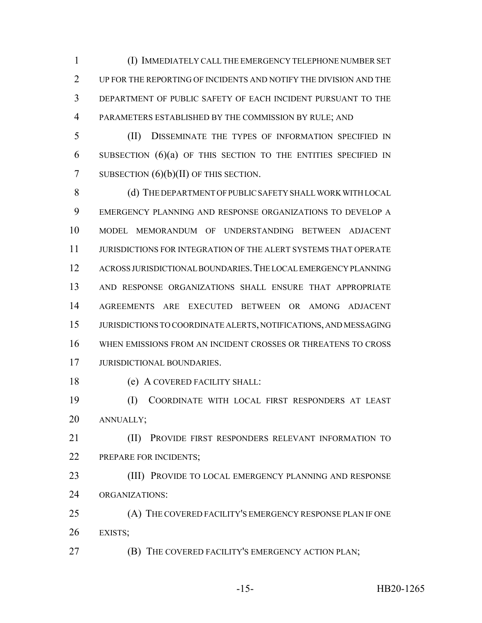(I) IMMEDIATELY CALL THE EMERGENCY TELEPHONE NUMBER SET UP FOR THE REPORTING OF INCIDENTS AND NOTIFY THE DIVISION AND THE DEPARTMENT OF PUBLIC SAFETY OF EACH INCIDENT PURSUANT TO THE PARAMETERS ESTABLISHED BY THE COMMISSION BY RULE; AND

 (II) DISSEMINATE THE TYPES OF INFORMATION SPECIFIED IN SUBSECTION (6)(a) OF THIS SECTION TO THE ENTITIES SPECIFIED IN 7 SUBSECTION  $(6)(b)(II)$  OF THIS SECTION.

8 (d) THE DEPARTMENT OF PUBLIC SAFETY SHALL WORK WITH LOCAL EMERGENCY PLANNING AND RESPONSE ORGANIZATIONS TO DEVELOP A MODEL MEMORANDUM OF UNDERSTANDING BETWEEN ADJACENT JURISDICTIONS FOR INTEGRATION OF THE ALERT SYSTEMS THAT OPERATE ACROSS JURISDICTIONAL BOUNDARIES.THE LOCAL EMERGENCY PLANNING AND RESPONSE ORGANIZATIONS SHALL ENSURE THAT APPROPRIATE AGREEMENTS ARE EXECUTED BETWEEN OR AMONG ADJACENT JURISDICTIONS TO COORDINATE ALERTS, NOTIFICATIONS, AND MESSAGING WHEN EMISSIONS FROM AN INCIDENT CROSSES OR THREATENS TO CROSS JURISDICTIONAL BOUNDARIES.

(e) A COVERED FACILITY SHALL:

 (I) COORDINATE WITH LOCAL FIRST RESPONDERS AT LEAST ANNUALLY;

- **(II) PROVIDE FIRST RESPONDERS RELEVANT INFORMATION TO** 22 PREPARE FOR INCIDENTS;
- (III) PROVIDE TO LOCAL EMERGENCY PLANNING AND RESPONSE ORGANIZATIONS:
- (A) THE COVERED FACILITY'S EMERGENCY RESPONSE PLAN IF ONE EXISTS;
- (B) THE COVERED FACILITY'S EMERGENCY ACTION PLAN;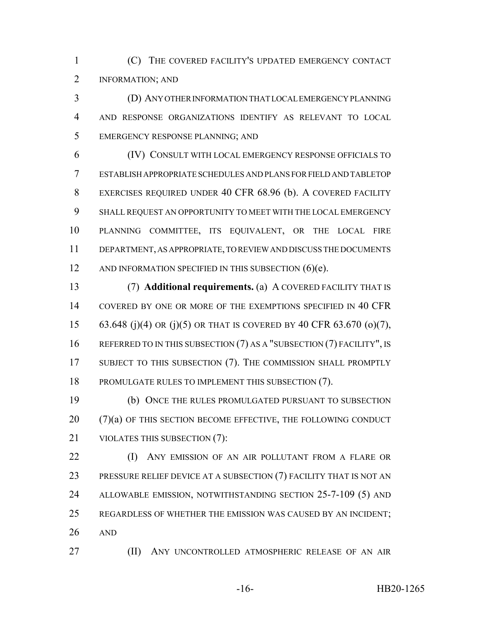(C) THE COVERED FACILITY'S UPDATED EMERGENCY CONTACT INFORMATION; AND

 (D) ANY OTHER INFORMATION THAT LOCAL EMERGENCY PLANNING AND RESPONSE ORGANIZATIONS IDENTIFY AS RELEVANT TO LOCAL EMERGENCY RESPONSE PLANNING; AND

 (IV) CONSULT WITH LOCAL EMERGENCY RESPONSE OFFICIALS TO ESTABLISH APPROPRIATE SCHEDULES AND PLANS FOR FIELD AND TABLETOP EXERCISES REQUIRED UNDER 40 CFR 68.96 (b). A COVERED FACILITY SHALL REQUEST AN OPPORTUNITY TO MEET WITH THE LOCAL EMERGENCY PLANNING COMMITTEE, ITS EQUIVALENT, OR THE LOCAL FIRE DEPARTMENT, AS APPROPRIATE, TO REVIEW AND DISCUSS THE DOCUMENTS 12 AND INFORMATION SPECIFIED IN THIS SUBSECTION (6)(e).

 (7) **Additional requirements.** (a) A COVERED FACILITY THAT IS COVERED BY ONE OR MORE OF THE EXEMPTIONS SPECIFIED IN 40 CFR 63.648 (j)(4) OR (j)(5) OR THAT IS COVERED BY 40 CFR 63.670 (o)(7), 16 REFERRED TO IN THIS SUBSECTION (7) AS A "SUBSECTION (7) FACILITY", IS SUBJECT TO THIS SUBSECTION (7). THE COMMISSION SHALL PROMPTLY PROMULGATE RULES TO IMPLEMENT THIS SUBSECTION (7).

 (b) ONCE THE RULES PROMULGATED PURSUANT TO SUBSECTION (7)(a) OF THIS SECTION BECOME EFFECTIVE, THE FOLLOWING CONDUCT VIOLATES THIS SUBSECTION (7):

**(I)** ANY EMISSION OF AN AIR POLLUTANT FROM A FLARE OR PRESSURE RELIEF DEVICE AT A SUBSECTION (7) FACILITY THAT IS NOT AN ALLOWABLE EMISSION, NOTWITHSTANDING SECTION 25-7-109 (5) AND REGARDLESS OF WHETHER THE EMISSION WAS CAUSED BY AN INCIDENT; AND

**(II)** ANY UNCONTROLLED ATMOSPHERIC RELEASE OF AN AIR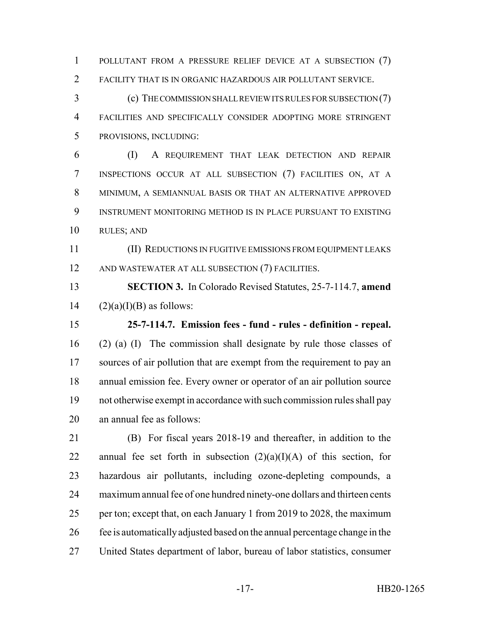POLLUTANT FROM A PRESSURE RELIEF DEVICE AT A SUBSECTION (7) FACILITY THAT IS IN ORGANIC HAZARDOUS AIR POLLUTANT SERVICE.

 (c) THE COMMISSION SHALL REVIEW ITS RULES FOR SUBSECTION (7) FACILITIES AND SPECIFICALLY CONSIDER ADOPTING MORE STRINGENT PROVISIONS, INCLUDING:

 (I) A REQUIREMENT THAT LEAK DETECTION AND REPAIR INSPECTIONS OCCUR AT ALL SUBSECTION (7) FACILITIES ON, AT A MINIMUM, A SEMIANNUAL BASIS OR THAT AN ALTERNATIVE APPROVED INSTRUMENT MONITORING METHOD IS IN PLACE PURSUANT TO EXISTING RULES; AND

 (II) REDUCTIONS IN FUGITIVE EMISSIONS FROM EQUIPMENT LEAKS AND WASTEWATER AT ALL SUBSECTION (7) FACILITIES.

 **SECTION 3.** In Colorado Revised Statutes, 25-7-114.7, **amend** 14  $(2)(a)(I)(B)$  as follows:

 **25-7-114.7. Emission fees - fund - rules - definition - repeal.** (2) (a) (I) The commission shall designate by rule those classes of 17 sources of air pollution that are exempt from the requirement to pay an annual emission fee. Every owner or operator of an air pollution source not otherwise exempt in accordance with such commission rules shall pay an annual fee as follows:

 (B) For fiscal years 2018-19 and thereafter, in addition to the 22 annual fee set forth in subsection  $(2)(a)(I)(A)$  of this section, for hazardous air pollutants, including ozone-depleting compounds, a maximum annual fee of one hundred ninety-one dollars and thirteen cents per ton; except that, on each January 1 from 2019 to 2028, the maximum fee is automatically adjusted based on the annual percentage change in the United States department of labor, bureau of labor statistics, consumer